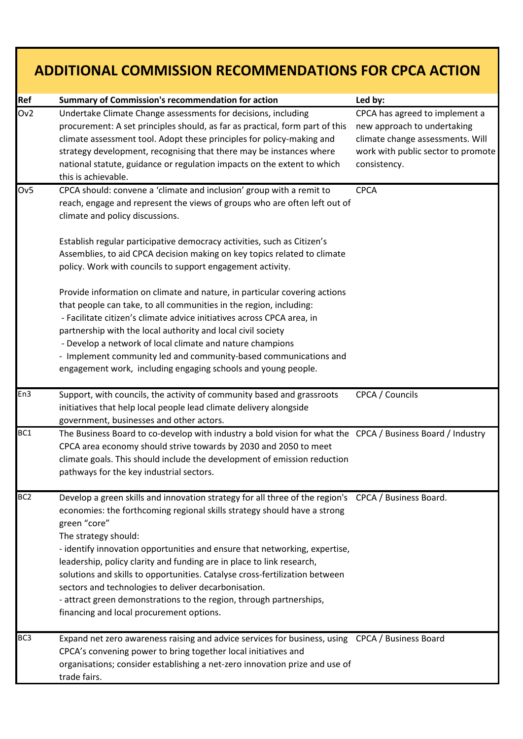| <b>ADDITIONAL COMMISSION RECOMMENDATIONS FOR CPCA ACTION</b> |                                                                                                                                                                                                                                                                                                                                                                                                                                                                                                                                                                                                                                          |                                                                                                                                                         |
|--------------------------------------------------------------|------------------------------------------------------------------------------------------------------------------------------------------------------------------------------------------------------------------------------------------------------------------------------------------------------------------------------------------------------------------------------------------------------------------------------------------------------------------------------------------------------------------------------------------------------------------------------------------------------------------------------------------|---------------------------------------------------------------------------------------------------------------------------------------------------------|
| Ref                                                          | <b>Summary of Commission's recommendation for action</b>                                                                                                                                                                                                                                                                                                                                                                                                                                                                                                                                                                                 | Led by:                                                                                                                                                 |
| Ov2                                                          | Undertake Climate Change assessments for decisions, including<br>procurement: A set principles should, as far as practical, form part of this<br>climate assessment tool. Adopt these principles for policy-making and<br>strategy development, recognising that there may be instances where<br>national statute, guidance or regulation impacts on the extent to which<br>this is achievable.                                                                                                                                                                                                                                          | CPCA has agreed to implement a<br>new approach to undertaking<br>climate change assessments. Will<br>work with public sector to promote<br>consistency. |
| Ov <sub>5</sub>                                              | CPCA should: convene a 'climate and inclusion' group with a remit to<br>reach, engage and represent the views of groups who are often left out of<br>climate and policy discussions.                                                                                                                                                                                                                                                                                                                                                                                                                                                     | <b>CPCA</b>                                                                                                                                             |
|                                                              | Establish regular participative democracy activities, such as Citizen's<br>Assemblies, to aid CPCA decision making on key topics related to climate<br>policy. Work with councils to support engagement activity.                                                                                                                                                                                                                                                                                                                                                                                                                        |                                                                                                                                                         |
|                                                              | Provide information on climate and nature, in particular covering actions<br>that people can take, to all communities in the region, including:<br>- Facilitate citizen's climate advice initiatives across CPCA area, in<br>partnership with the local authority and local civil society<br>- Develop a network of local climate and nature champions<br>- Implement community led and community-based communications and<br>engagement work, including engaging schools and young people.                                                                                                                                              |                                                                                                                                                         |
| En <sub>3</sub>                                              | Support, with councils, the activity of community based and grassroots<br>initiatives that help local people lead climate delivery alongside<br>government, businesses and other actors.                                                                                                                                                                                                                                                                                                                                                                                                                                                 | CPCA / Councils                                                                                                                                         |
| BC1                                                          | The Business Board to co-develop with industry a bold vision for what the CPCA / Business Board / Industry<br>CPCA area economy should strive towards by 2030 and 2050 to meet<br>climate goals. This should include the development of emission reduction<br>pathways for the key industrial sectors.                                                                                                                                                                                                                                                                                                                                   |                                                                                                                                                         |
| BC <sub>2</sub>                                              | Develop a green skills and innovation strategy for all three of the region's CPCA / Business Board.<br>economies: the forthcoming regional skills strategy should have a strong<br>green "core"<br>The strategy should:<br>- identify innovation opportunities and ensure that networking, expertise,<br>leadership, policy clarity and funding are in place to link research,<br>solutions and skills to opportunities. Catalyse cross-fertilization between<br>sectors and technologies to deliver decarbonisation.<br>- attract green demonstrations to the region, through partnerships,<br>financing and local procurement options. |                                                                                                                                                         |
| BC <sub>3</sub>                                              | Expand net zero awareness raising and advice services for business, using CPCA / Business Board<br>CPCA's convening power to bring together local initiatives and<br>organisations; consider establishing a net-zero innovation prize and use of<br>trade fairs.                                                                                                                                                                                                                                                                                                                                                                         |                                                                                                                                                         |